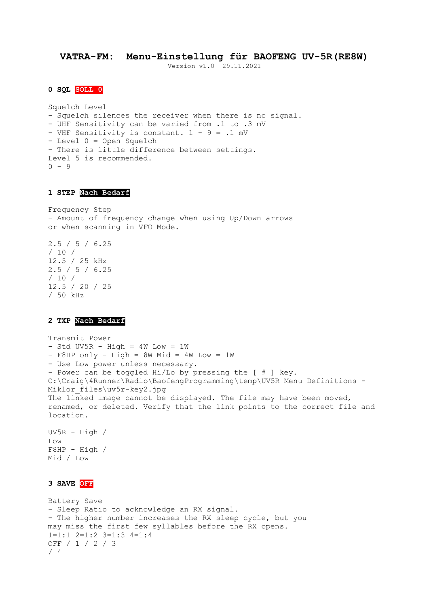## **VATRA-FM: Menu-Einstellung für BAOFENG UV-5R(RE8W)**

Version v1.0 29.11.2021

**0 SQL SOLL 0**

```
Squelch Level 
- Squelch silences the receiver when there is no signal. 
- UHF Sensitivity can be varied from .1 to .3 mV 
- VHF Sensitivity is constant. 1 - 9 = .1 mV
- Level 0 = Open Squelch 
- There is little difference between settings. 
Level 5 is recommended. 
0 - 9
```
## **1 STEP Nach Bedarf**

Frequency Step - Amount of frequency change when using Up/Down arrows or when scanning in VFO Mode.

2.5 / 5 / 6.25 / 10 / 12.5 / 25 kHz 2.5 / 5 / 6.25 / 10 / 12.5 / 20 / 25 / 50 kHz

#### **2 TXP Nach Bedarf**

```
Transmit Power 
- Std UV5R - High = 4W Low = 1W- F8HP only - High = 8W Mid = 4W Low = 1W- Use Low power unless necessary.
- Power can be toggled Hi/Lo by pressing the [ # ] key. 
C:\Craig\4Runner\Radio\BaofengProgramming\temp\UV5R Menu Definitions -
Miklor files\uv5r-key2.jpg
The linked image cannot be displayed. The file may have been moved,
renamed, or deleted. Verify that the link points to the correct file and 
location.
```
 $UV5R - High /$ Low  $F8HP - High /$ Mid / Low

## **3 SAVE OFF**

```
Battery Save 
- Sleep Ratio to acknowledge an RX signal. 
- The higher number increases the RX sleep cycle, but you 
may miss the first few syllables before the RX opens. 
1=1:1 2=1:2 3=1:3 4=1:4 
OFF / 1 / 2 / 3 
/ 4
```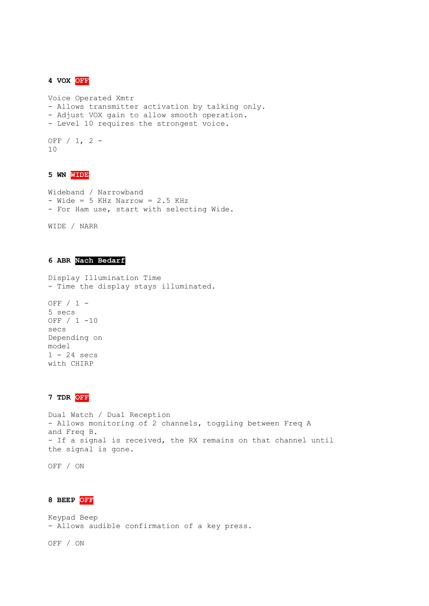**4 VOX OFF**

```
Voice Operated Xmtr 
- Allows transmitter activation by talking only. 
- Adjust VOX gain to allow smooth operation. 
- Level 10 requires the strongest voice. 
OFF / 1, 2 -
10
```
## **5 WN WIDE**

```
Wideband / Narrowband 
- Wide = 5 KHz Narrow = 2.5 KHz
- For Ham use, start with selecting Wide.
```
WIDE / NARR

## **6 ABR Nach Bedarf**

```
Display Illumination Time 
- Time the display stays illuminated.
```
OFF / 1 - 5 secs OFF / 1 -10 secs Depending on model 1 - 24 secs with CHIRP

```
7 TDR OFF
```

```
Dual Watch / Dual Reception 
- Allows monitoring of 2 channels, toggling between Freq A 
and Freq B. 
- If a signal is received, the RX remains on that channel until 
the signal is gone.
```
OFF / ON

## **8 BEEP OFF**

```
Keypad Beep 
- Allows audible confirmation of a key press.
```
OFF / ON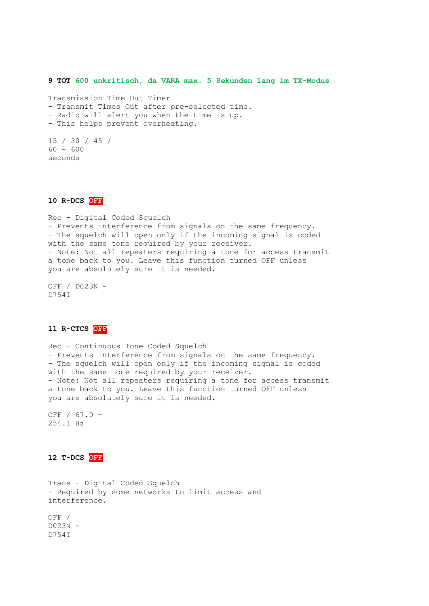**9 TOT 600 unkritisch, da VARA max. 5 Sekunden lang im TX-Modus**

Transmission Time Out Timer - Transmit Times Out after pre-selected time. - Radio will alert you when the time is up. - This helps prevent overheating. 15 / 30 / 45 /

 $60 - 600$ seconds

**10 R-DCS OFF**

Rec - Digital Coded Squelch - Prevents interference from signals on the same frequency. - The squelch will open only if the incoming signal is coded with the same tone required by your receiver. - Note: Not all repeaters requiring a tone for access transmit a tone back to you. Leave this function turned OFF unless you are absolutely sure it is needed.

OFF / D023N - D754I

## **11 R-CTCS OFF**

Rec - Continuous Tone Coded Squelch - Prevents interference from signals on the same frequency. - The squelch will open only if the incoming signal is coded with the same tone required by your receiver. - Note: Not all repeaters requiring a tone for access transmit a tone back to you. Leave this function turned OFF unless you are absolutely sure it is needed.

OFF / 67.0 - 254.1 Hz

# **12 T-DCS OFF**

Trans - Digital Coded Squelch - Required by some networks to limit access and interference.

OFF /  $D023N -$ D754I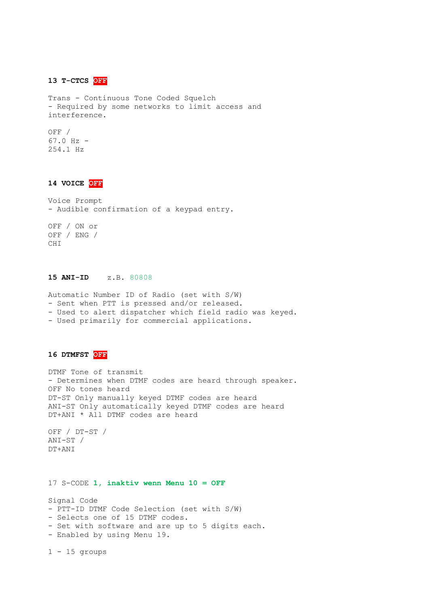### **13 T-CTCS OFF**

Trans - Continuous Tone Coded Squelch - Required by some networks to limit access and interference.

OFF / 67.0 Hz - 254.1 Hz

### **14 VOICE OFF**

Voice Prompt - Audible confirmation of a keypad entry.

OFF / ON or OFF / ENG / CHI

### **15 ANI-ID** z.B. 80808

Automatic Number ID of Radio (set with S/W) - Sent when PTT is pressed and/or released. - Used to alert dispatcher which field radio was keyed. - Used primarily for commercial applications.

## **16 DTMFST OFF**

DTMF Tone of transmit - Determines when DTMF codes are heard through speaker. OFF No tones heard DT-ST Only manually keyed DTMF codes are heard ANI-ST Only automatically keyed DTMF codes are heard DT+ANI \* All DTMF codes are heard

OFF / DT-ST / ANI-ST / DT+ANI

17 S-CODE **1, inaktiv wenn Menu 10 = OFF**

Signal Code - PTT-ID DTMF Code Selection (set with S/W) - Selects one of 15 DTMF codes.

- Set with software and are up to 5 digits each.
- Enabled by using Menu 19.

1 - 15 groups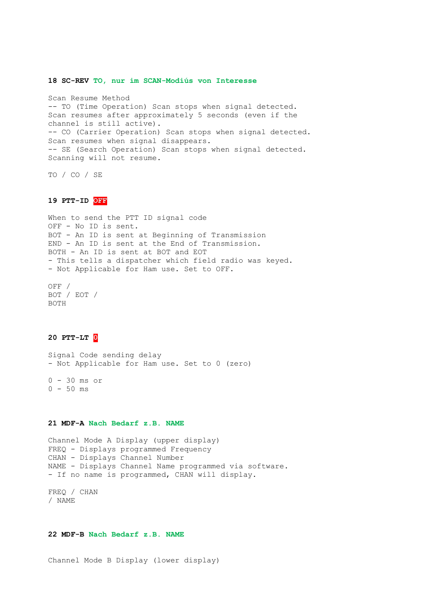**18 SC-REV TO, nur im SCAN-Modiús von Interesse**

Scan Resume Method -- TO (Time Operation) Scan stops when signal detected. Scan resumes after approximately 5 seconds (even if the channel is still active). -- CO (Carrier Operation) Scan stops when signal detected. Scan resumes when signal disappears. -- SE (Search Operation) Scan stops when signal detected. Scanning will not resume.

TO / CO / SE

**19 PTT-ID OFF**

When to send the PTT ID signal code OFF - No ID is sent. BOT - An ID is sent at Beginning of Transmission END - An ID is sent at the End of Transmission. BOTH - An ID is sent at BOT and EOT - This tells a dispatcher which field radio was keyed. - Not Applicable for Ham use. Set to OFF.

OFF / BOT / EOT / BOTH

## **20 PTT-LT 0**

Signal Code sending delay - Not Applicable for Ham use. Set to 0 (zero)

0 - 30 ms or  $0 - 50$  ms

#### **21 MDF-A Nach Bedarf z.B. NAME**

Channel Mode A Display (upper display) FREQ - Displays programmed Frequency CHAN - Displays Channel Number NAME - Displays Channel Name programmed via software. - If no name is programmed, CHAN will display.

FREQ / CHAN / NAME

#### **22 MDF-B Nach Bedarf z.B. NAME**

Channel Mode B Display (lower display)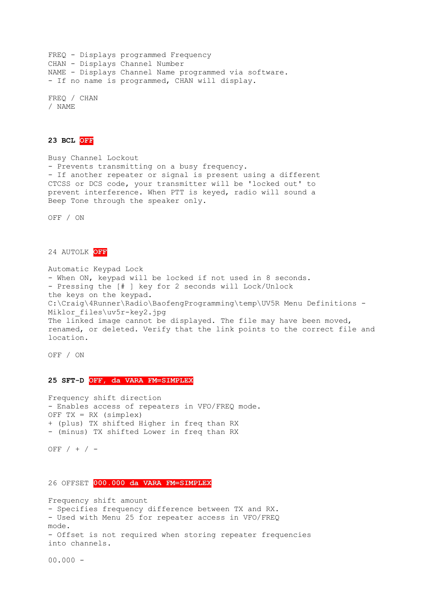```
FREQ - Displays programmed Frequency 
CHAN - Displays Channel Number 
NAME - Displays Channel Name programmed via software. 
- If no name is programmed, CHAN will display. 
FREQ / CHAN
```

```
/ NAME
```
## **23 BCL OFF**

Busy Channel Lockout - Prevents transmitting on a busy frequency. - If another repeater or signal is present using a different CTCSS or DCS code, your transmitter will be 'locked out' to prevent interference. When PTT is keyed, radio will sound a Beep Tone through the speaker only.

OFF / ON

24 AUTOLK **OFF**

Automatic Keypad Lock - When ON, keypad will be locked if not used in 8 seconds. - Pressing the [# ] key for 2 seconds will Lock/Unlock the keys on the keypad. C:\Craig\4Runner\Radio\BaofengProgramming\temp\UV5R Menu Definitions - Miklor files\uv5r-key2.jpg The linked image cannot be displayed. The file may have been moved, renamed, or deleted. Verify that the link points to the correct file and location.

OFF / ON

# **25 SFT-D OFF, da VARA FM=SIMPLEX**

```
Frequency shift direction 
- Enables access of repeaters in VFO/FREQ mode. 
OFF TX = RX (simplex) 
+ (plus) TX shifted Higher in freq than RX 
- (minus) TX shifted Lower in freq than RX
```
OFF  $/ + / -$ 

26 OFFSET **000.000 da VARA FM=SIMPLEX**

Frequency shift amount - Specifies frequency difference between TX and RX. - Used with Menu 25 for repeater access in VFO/FREQ mode. - Offset is not required when storing repeater frequencies into channels.

 $00.000 -$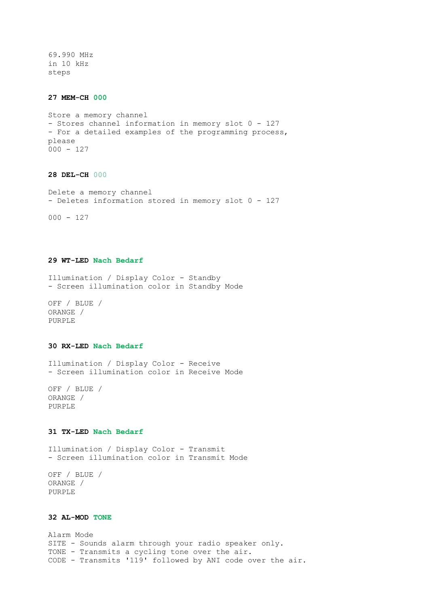69.990 MHz in 10 kHz steps

### **27 MEM-CH 000**

```
Store a memory channel 
- Stores channel information in memory slot 0 - 127 
- For a detailed examples of the programming process, 
please 
000 - 127
```
## **28 DEL-CH** 000

Delete a memory channel - Deletes information stored in memory slot 0 - 127

 $000 - 127$ 

#### **29 WT-LED Nach Bedarf**

```
Illumination / Display Color - Standby 
- Screen illumination color in Standby Mode
```
OFF / BLUE / ORANGE / PURPLE

### **30 RX-LED Nach Bedarf**

Illumination / Display Color - Receive - Screen illumination color in Receive Mode

OFF / BLUE / ORANGE / PURPLE

# **31 TX-LED Nach Bedarf**

Illumination / Display Color - Transmit - Screen illumination color in Transmit Mode

OFF / BLUE / ORANGE / PURPLE

## **32 AL-MOD TONE**

```
Alarm Mode 
SITE - Sounds alarm through your radio speaker only. 
TONE - Transmits a cycling tone over the air. 
CODE - Transmits '119' followed by ANI code over the air.
```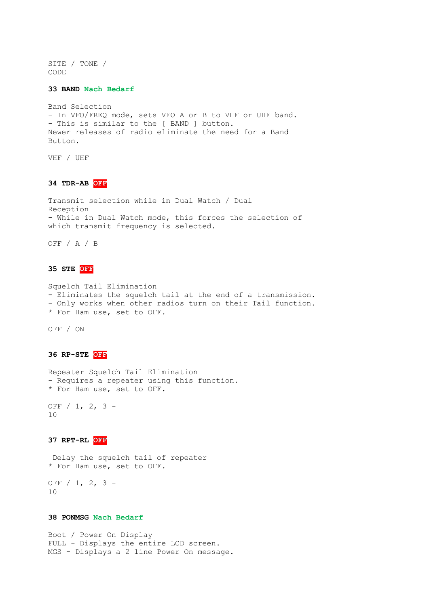SITE / TONE / CODE

#### **33 BAND Nach Bedarf**

Band Selection - In VFO/FREQ mode, sets VFO A or B to VHF or UHF band. - This is similar to the [ BAND ] button. Newer releases of radio eliminate the need for a Band Button.

VHF / UHF

**34 TDR-AB OFF**

Transmit selection while in Dual Watch / Dual Reception - While in Dual Watch mode, this forces the selection of which transmit frequency is selected.

OFF / A / B

## **35 STE OFF**

Squelch Tail Elimination - Eliminates the squelch tail at the end of a transmission. - Only works when other radios turn on their Tail function. \* For Ham use, set to OFF.

OFF / ON

## **36 RP-STE OFF**

Repeater Squelch Tail Elimination - Requires a repeater using this function. \* For Ham use, set to OFF.

OFF / 1, 2, 3 - 10

## **37 RPT-RL OFF**

Delay the squelch tail of repeater \* For Ham use, set to OFF.

OFF / 1, 2, 3 - 10

## **38 PONMSG Nach Bedarf**

Boot / Power On Display FULL - Displays the entire LCD screen. MGS - Displays a 2 line Power On message.